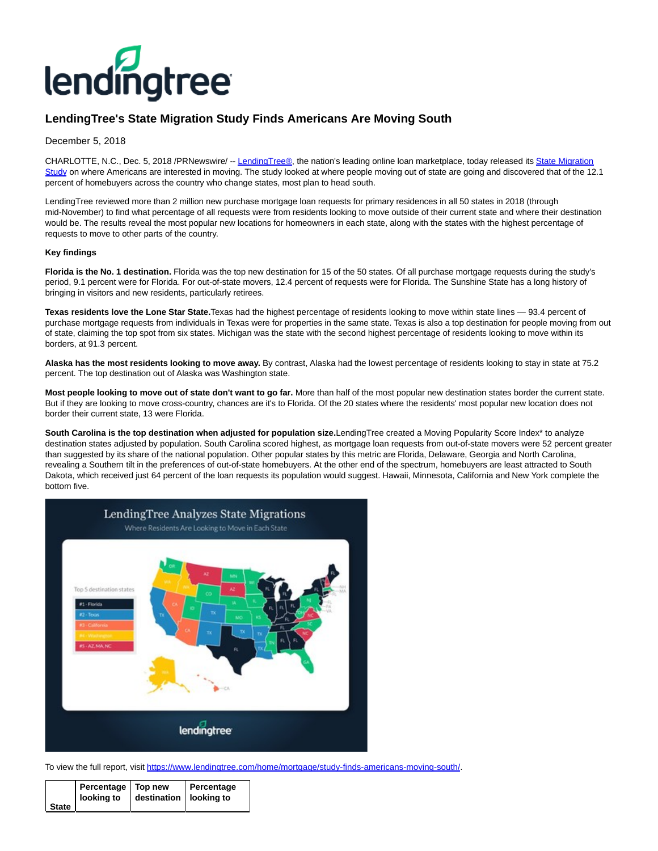

# **LendingTree's State Migration Study Finds Americans Are Moving South**

## December 5, 2018

CHARLOTTE, N.C., Dec. 5, 2018 /PRNewswire/ -[- LendingTree®,](http://www.lendingtree.com/) the nation's leading online loan marketplace, today released its [State Migration](https://www.lendingtree.com/home/mortgage/study-finds-americans-moving-south/) Study on where Americans are interested in moving. The study looked at where people moving out of state are going and discovered that of the 12.1 percent of homebuyers across the country who change states, most plan to head south.

LendingTree reviewed more than 2 million new purchase mortgage loan requests for primary residences in all 50 states in 2018 (through mid-November) to find what percentage of all requests were from residents looking to move outside of their current state and where their destination would be. The results reveal the most popular new locations for homeowners in each state, along with the states with the highest percentage of requests to move to other parts of the country.

### **Key findings**

**Florida is the No. 1 destination.** Florida was the top new destination for 15 of the 50 states. Of all purchase mortgage requests during the study's period, 9.1 percent were for Florida. For out-of-state movers, 12.4 percent of requests were for Florida. The Sunshine State has a long history of bringing in visitors and new residents, particularly retirees.

**Texas residents love the Lone Star State.**Texas had the highest percentage of residents looking to move within state lines — 93.4 percent of purchase mortgage requests from individuals in Texas were for properties in the same state. Texas is also a top destination for people moving from out of state, claiming the top spot from six states. Michigan was the state with the second highest percentage of residents looking to move within its borders, at 91.3 percent.

**Alaska has the most residents looking to move away.** By contrast, Alaska had the lowest percentage of residents looking to stay in state at 75.2 percent. The top destination out of Alaska was Washington state.

**Most people looking to move out of state don't want to go far.** More than half of the most popular new destination states border the current state. But if they are looking to move cross-country, chances are it's to Florida. Of the 20 states where the residents' most popular new location does not border their current state, 13 were Florida.

**South Carolina is the top destination when adjusted for population size.**LendingTree created a Moving Popularity Score Index\* to analyze destination states adjusted by population. South Carolina scored highest, as mortgage loan requests from out-of-state movers were 52 percent greater than suggested by its share of the national population. Other popular states by this metric are Florida, Delaware, Georgia and North Carolina, revealing a Southern tilt in the preferences of out-of-state homebuyers. At the other end of the spectrum, homebuyers are least attracted to South Dakota, which received just 64 percent of the loan requests its population would suggest. Hawaii, Minnesota, California and New York complete the bottom five.



To view the full report, visit [https://www.lendingtree.com/home/mortgage/study-finds-americans-moving-south/.](https://www.lendingtree.com/home/mortgage/study-finds-americans-moving-south/) 

|         | Percentage   Top new<br>looking to   destination   looking to | Percentage |
|---------|---------------------------------------------------------------|------------|
| State I |                                                               |            |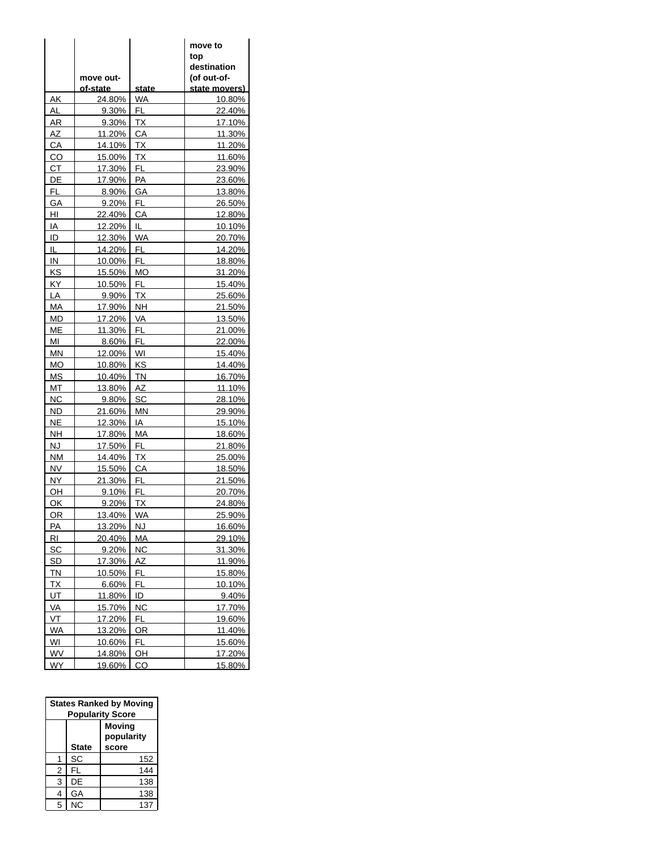|                | move out-<br><u>of-state_</u> | state     | move to<br>top<br>destination<br>(of out-of-<br><u>state movers)</u> |
|----------------|-------------------------------|-----------|----------------------------------------------------------------------|
| AΚ             | 24.80%                        | WA        | 10.80%                                                               |
| AL             | 9.30%                         | <b>FL</b> | 22.40%                                                               |
| AR             | 9.30%                         | ТX        | 17.10%                                                               |
| AΖ             | 11.20%                        | СA        | 11.30%                                                               |
| CA             | 14.10%                        | ТX        | 11.20%                                                               |
| CO             | 15.00%                        | <b>TX</b> | 11.60%                                                               |
| CТ             | 17.30%                        | FL        | 23.90%                                                               |
| DE             | 17.90%                        | PA        | 23.60%                                                               |
| FL             | 8.90%                         | GA        | 13.80%                                                               |
| GА             | 9.20%                         | FL.       | 26.50%                                                               |
| HI             | 22.40%                        | СA        | 12.80%                                                               |
| IA             | 12.20%                        | IL.       | 10.10%                                                               |
| ID             | 12.30%                        | <b>WA</b> | 20.70%                                                               |
| IL             | 14.20%                        | FL        | 14.20%                                                               |
| IN             | 10.00%                        | FL        | 18.80%                                                               |
| KS             | 15.50%                        | МO        | 31.20%                                                               |
| ΚY             | 10.50%                        | FL        | 15.40%                                                               |
| LA             | 9.90%                         | ТX        | 25.60%                                                               |
| MA             | 17.90%                        | <b>NH</b> | 21.50%                                                               |
| MD             | 17.20%                        | VA        | 13.50%                                                               |
| МE             | 11.30%                        | FL        | 21.00%                                                               |
| MI             | 8.60%                         | FL        | 22.00%                                                               |
| ΜN             | 12.00%                        | WI        | 15.40%                                                               |
| МO             | 10.80%                        | KS        | 14.40%                                                               |
| МS             | 10.40%                        | ΤN        | 16.70%                                                               |
| МT             | 13.80%                        | AZ        | 11.10%                                                               |
| ΝC             | 9.80%                         | SC        | 28.10%                                                               |
| <b>ND</b>      | 21.60%                        | <b>MN</b> | 29.90%                                                               |
| <b>NE</b>      | 12.30%                        | IA        | 15.10%                                                               |
| <b>NH</b>      | 17.80%                        | МA        | 18.60%                                                               |
| NJ             | 17.50%                        | FL        | 21.80%                                                               |
| ΝM             | 14.40%                        | ТX        | 25.00%                                                               |
| NV             | 15.50%                        | СA        | 18.50%                                                               |
| NY.            | 21.30%                        | FL        | 21.50%                                                               |
| OH             | 9.10%                         | FL        | 20.70%                                                               |
| OK             | 9.20%                         | ТX        | 24.80%                                                               |
| OR             | 13.40%                        | WA        | 25.90%                                                               |
| PA             | 13.20%                        | <b>NJ</b> | 16.60%                                                               |
| RI             | 20.40%                        | MA        | 29.10%                                                               |
| SC             | 9.20%                         | ΝC        | 31.30%                                                               |
| <u>SD</u>      | 17.30%                        | AΖ        | 11.90%                                                               |
| TN             | 10.50%                        | FL        | 15.80%                                                               |
| $\overline{X}$ | 6.60%                         | FL        | 10.10%                                                               |
| UT             | 11.80%                        | ID        | 9.40%                                                                |
| VA             | 15.70%                        | <b>NC</b> | 17.70%                                                               |
| VT             | 17.20%                        | FL        | 19.60%                                                               |
| <b>WA</b>      | 13.20%                        | <b>OR</b> | 11.40%                                                               |
| WI             | 10.60%                        | FL        | 15.60%                                                               |
| <b>WV</b>      | 14.80%                        | OH        | 17.20%                                                               |
| WY             | 19.60%                        | CO        | 15.80%                                                               |

| <b>States Ranked by Moving</b><br><b>Popularity Score</b> |              |                                      |  |  |
|-----------------------------------------------------------|--------------|--------------------------------------|--|--|
|                                                           | <b>State</b> | <b>Moving</b><br>popularity<br>score |  |  |
|                                                           | SC           | 152                                  |  |  |
| 2                                                         | FL           | 144                                  |  |  |
| 3                                                         | DE           | 138                                  |  |  |
| 4                                                         | GA           | 138                                  |  |  |
| 5                                                         | <b>NC</b>    | 137                                  |  |  |

 $\overline{a}$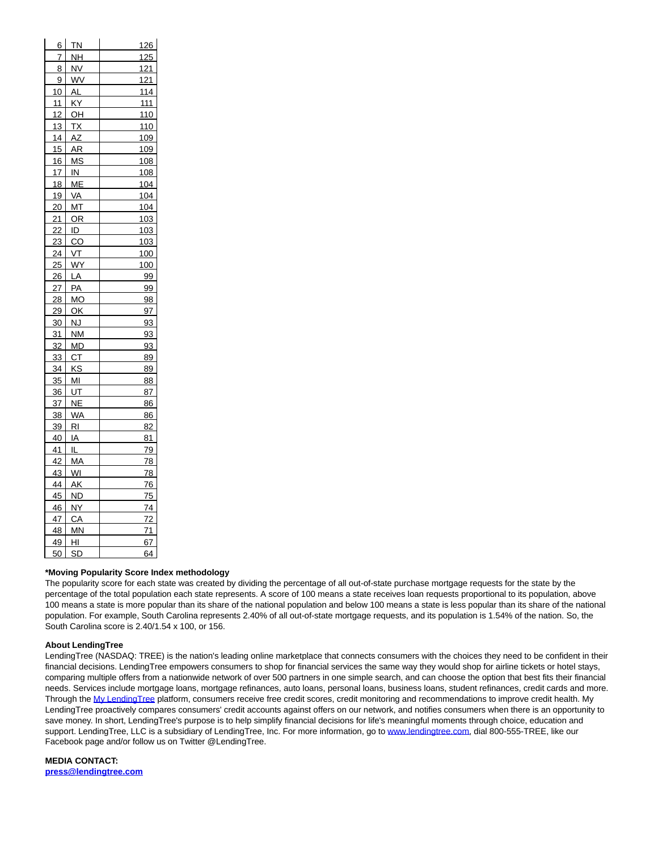| 6               | <b>TN</b>      | 126             |
|-----------------|----------------|-----------------|
| 7               | <u>NН</u>      | 125             |
| 8               | NV             | 121             |
| 9               | <b>WV</b>      | 121             |
| 10              | AL             | 114             |
| 11              | ΚY             | 111             |
| 12              | OH             | 110             |
| 13              | ТX             | 110             |
| 14              | <u>ΑZ</u>      | 109             |
| 15              | AR             | 109             |
| 16              | ΜS             | 108             |
| 17              | IN             | 108             |
| 18              | МЕ             | 104             |
| 19              | VA             | 104             |
| 20              | МТ             | <u>104</u>      |
| 21              | OR             | 103             |
| 22              | ID             | 103             |
| 23              | $\overline{c}$ | 103             |
| 24              | VT             | 100             |
| 25              | WY             | 1 <u>00</u>     |
| 26              | LA             | 99              |
| $\overline{27}$ | PA             | 99              |
| 28              | МO             | <u>98</u>       |
| 29              | ОК             | 97              |
| 30              | NJ             | 93              |
| 31              | ΝM             | 93              |
| 32              | MD             | 93              |
| 33              | <b>CT</b>      | 89              |
| 34              | κs             | <u>89</u>       |
| 35              | MI             | 88              |
| 36              | UT             | 87              |
| 37              | <b>NE</b>      | 86              |
| 38              | <b>WA</b>      | 86              |
| 39              | RI             | 82              |
| 40              | ΙA             | 81              |
| 41              | IL             | 79              |
| 42              | MA             | 78              |
| 43              | <u>WI</u>      | 78              |
| 44              | AΚ             | 76              |
| 45              | ND             | $\frac{75}{2}$  |
| 46              | NΥ             | 74              |
| 47              | <b>CA</b>      | 72              |
| 48              | MN             | $\overline{71}$ |
| 49              | HI             | 67              |
| 50              | SD             | 64              |

### **\*Moving Popularity Score Index methodology**

The popularity score for each state was created by dividing the percentage of all out-of-state purchase mortgage requests for the state by the percentage of the total population each state represents. A score of 100 means a state receives loan requests proportional to its population, above 100 means a state is more popular than its share of the national population and below 100 means a state is less popular than its share of the national population. For example, South Carolina represents 2.40% of all out-of-state mortgage requests, and its population is 1.54% of the nation. So, the South Carolina score is 2.40/1.54 x 100, or 156.

### **About LendingTree**

LendingTree (NASDAQ: TREE) is the nation's leading online marketplace that connects consumers with the choices they need to be confident in their financial decisions. LendingTree empowers consumers to shop for financial services the same way they would shop for airline tickets or hotel stays, comparing multiple offers from a nationwide network of over 500 partners in one simple search, and can choose the option that best fits their financial needs. Services include mortgage loans, mortgage refinances, auto loans, personal loans, business loans, student refinances, credit cards and more. Through the [My LendingTree p](http://www.mylendingtree.com/)latform, consumers receive free credit scores, credit monitoring and recommendations to improve credit health. My LendingTree proactively compares consumers' credit accounts against offers on our network, and notifies consumers when there is an opportunity to save money. In short, LendingTree's purpose is to help simplify financial decisions for life's meaningful moments through choice, education and support. LendingTree, LLC is a subsidiary of LendingTree, Inc. For more information, go to [www.lendingtree.com,](http://www.lendingtree.com/) dial 800-555-TREE, like our Facebook page and/or follow us on Twitter @LendingTree.

**MEDIA CONTACT: [press@lendingtree.com](mailto:press@lendingtree.com)**